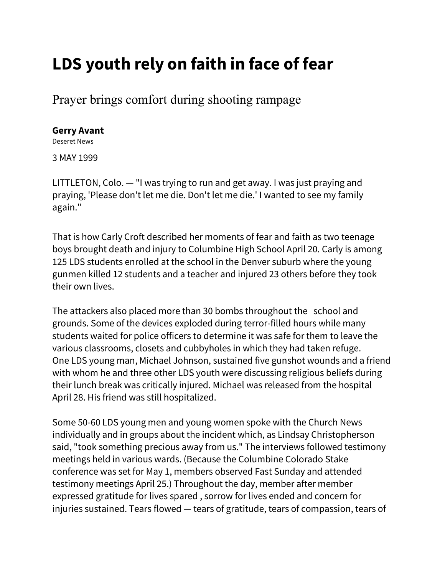## **LDS youth rely on faith in face of fear**

Prayer brings comfort during shooting rampage

## **[Gerry Avant](http://deseretnews.com/dn/staff/card/1,1228,4,00.html)**

Deseret News

3 MAY 1999

LITTLETON, Colo. — "I was trying to run and get away. I was just praying and praying, 'Please don't let me die. Don't let me die.' I wanted to see my family again."

That is how Carly Croft described her moments of fear and faith as two teenage boys brought death and injury to Columbine High School April 20. Carly is among 125 LDS students enrolled at the school in the Denver suburb where the young gunmen killed 12 students and a teacher and injured 23 others before they took their own lives.

The attackers also placed more than 30 bombs throughout the school and grounds. Some of the devices exploded during terror-filled hours while many students waited for police officers to determine it was safe for them to leave the various classrooms, closets and cubbyholes in which they had taken refuge. One LDS young man, Michael Johnson, sustained five gunshot wounds and a friend with whom he and three other LDS youth were discussing religious beliefs during their lunch break was critically injured. Michael was released from the hospital April 28. His friend was still hospitalized.

Some 50-60 LDS young men and young women spoke with the Church News individually and in groups about the incident which, as Lindsay Christopherson said, "took something precious away from us." The interviews followed testimony meetings held in various wards. (Because the Columbine Colorado Stake conference was set for May 1, members observed Fast Sunday and attended testimony meetings April 25.) Throughout the day, member after member expressed gratitude for lives spared , sorrow for lives ended and concern for injuries sustained. Tears flowed — tears of gratitude, tears of compassion, tears of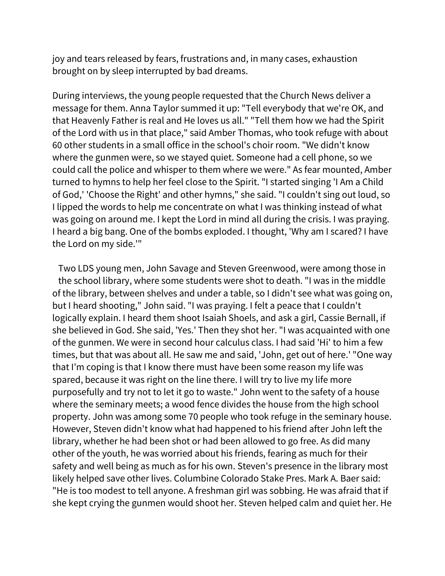joy and tears released by fears, frustrations and, in many cases, exhaustion brought on by sleep interrupted by bad dreams.

During interviews, the young people requested that the Church News deliver a message for them. Anna Taylor summed it up: "Tell everybody that we're OK, and that Heavenly Father is real and He loves us all." "Tell them how we had the Spirit of the Lord with us in that place," said Amber Thomas, who took refuge with about 60 other students in a small office in the school's choir room. "We didn't know where the gunmen were, so we stayed quiet. Someone had a cell phone, so we could call the police and whisper to them where we were." As fear mounted, Amber turned to hymns to help her feel close to the Spirit. "I started singing 'I Am a Child of God,' 'Choose the Right' and other hymns," she said. "I couldn't sing out loud, so I lipped the words to help me concentrate on what I was thinking instead of what was going on around me. I kept the Lord in mind all during the crisis. I was praying. I heard a big bang. One of the bombs exploded. I thought, 'Why am I scared? I have the Lord on my side.'"

Two LDS young men, John Savage and Steven Greenwood, were among those in the school library, where some students were shot to death. "I was in the middle of the library, between shelves and under a table, so I didn't see what was going on, but I heard shooting," John said. "I was praying. I felt a peace that I couldn't logically explain. I heard them shoot Isaiah Shoels, and ask a girl, Cassie Bernall, if she believed in God. She said, 'Yes.' Then they shot her. "I was acquainted with one of the gunmen. We were in second hour calculus class. I had said 'Hi' to him a few times, but that was about all. He saw me and said, 'John, get out of here.' "One way that I'm coping is that I know there must have been some reason my life was spared, because it was right on the line there. I will try to live my life more purposefully and try not to let it go to waste." John went to the safety of a house where the seminary meets; a wood fence divides the house from the high school property. John was among some 70 people who took refuge in the seminary house. However, Steven didn't know what had happened to his friend after John left the library, whether he had been shot or had been allowed to go free. As did many other of the youth, he was worried about his friends, fearing as much for their safety and well being as much as for his own. Steven's presence in the library most likely helped save other lives. Columbine Colorado Stake Pres. Mark A. Baer said: "He is too modest to tell anyone. A freshman girl was sobbing. He was afraid that if she kept crying the gunmen would shoot her. Steven helped calm and quiet her. He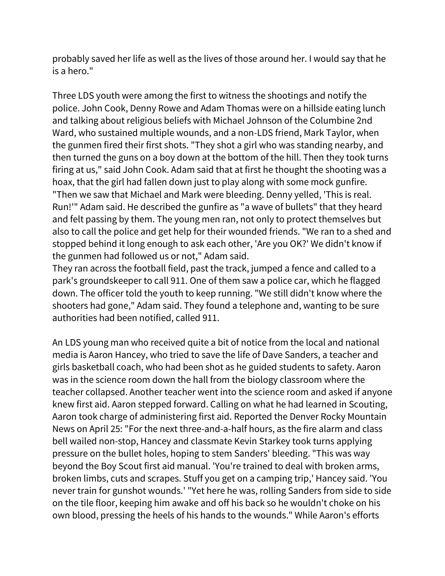probably saved her life as well as the lives of those around her. I would say that he is a hero."

Three LDS youth were among the first to witness the shootings and notify the police. John Cook, Denny Rowe and Adam Thomas were on a hillside eating lunch and talking about religious beliefs with Michael Johnson of the Columbine 2nd Ward, who sustained multiple wounds, and a non-LDS friend, Mark Taylor, when the gunmen fired their first shots. "They shot a girl who was standing nearby, and then turned the guns on a boy down at the bottom of the hill. Then they took turns firing at us," said John Cook. Adam said that at first he thought the shooting was a hoax, that the girl had fallen down just to play along with some mock gunfire. "Then we saw that Michael and Mark were bleeding. Denny yelled, 'This is real. Run!'" Adam said. He described the gunfire as "a wave of bullets" that they heard and felt passing by them. The young men ran, not only to protect themselves but also to call the police and get help for their wounded friends. "We ran to a shed and stopped behind it long enough to ask each other, 'Are you OK?' We didn't know if the gunmen had followed us or not," Adam said.

They ran across the football field, past the track, jumped a fence and called to a park's groundskeeper to call 911. One of them saw a police car, which he flagged down. The officer told the youth to keep running. "We still didn't know where the shooters had gone," Adam said. They found a telephone and, wanting to be sure authorities had been notified, called 911.

An LDS young man who received quite a bit of notice from the local and national media is Aaron Hancey, who tried to save the life of Dave Sanders, a teacher and girls basketball coach, who had been shot as he guided students to safety. Aaron was in the science room down the hall from the biology classroom where the teacher collapsed. Another teacher went into the science room and asked if anyone knew first aid. Aaron stepped forward. Calling on what he had learned in Scouting, Aaron took charge of administering first aid. Reported the Denver Rocky Mountain News on April 25: "For the next three-and-a-half hours, as the fire alarm and class bell wailed non-stop, Hancey and classmate Kevin Starkey took turns applying pressure on the bullet holes, hoping to stem Sanders' bleeding. "This was way beyond the Boy Scout first aid manual. 'You're trained to deal with broken arms, broken limbs, cuts and scrapes. Stuff you get on a camping trip,' Hancey said. 'You never train for gunshot wounds.' "Yet here he was, rolling Sanders from side to side on the tile floor, keeping him awake and off his back so he wouldn't choke on his own blood, pressing the heels of his hands to the wounds." While Aaron's efforts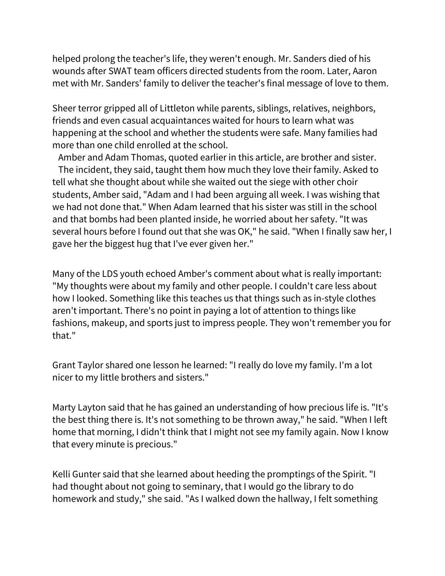helped prolong the teacher's life, they weren't enough. Mr. Sanders died of his wounds after SWAT team officers directed students from the room. Later, Aaron met with Mr. Sanders' family to deliver the teacher's final message of love to them.

Sheer terror gripped all of Littleton while parents, siblings, relatives, neighbors, friends and even casual acquaintances waited for hours to learn what was happening at the school and whether the students were safe. Many families had more than one child enrolled at the school.

Amber and Adam Thomas, quoted earlier in this article, are brother and sister. The incident, they said, taught them how much they love their family. Asked to tell what she thought about while she waited out the siege with other choir students, Amber said, "Adam and I had been arguing all week. I was wishing that we had not done that." When Adam learned that his sister was still in the school and that bombs had been planted inside, he worried about her safety. "It was several hours before I found out that she was OK," he said. "When I finally saw her, I gave her the biggest hug that I've ever given her."

Many of the LDS youth echoed Amber's comment about what is really important: "My thoughts were about my family and other people. I couldn't care less about how I looked. Something like this teaches us that things such as in-style clothes aren't important. There's no point in paying a lot of attention to things like fashions, makeup, and sports just to impress people. They won't remember you for that."

Grant Taylor shared one lesson he learned: "I really do love my family. I'm a lot nicer to my little brothers and sisters."

Marty Layton said that he has gained an understanding of how precious life is. "It's the best thing there is. It's not something to be thrown away," he said. "When I left home that morning, I didn't think that I might not see my family again. Now I know that every minute is precious."

Kelli Gunter said that she learned about heeding the promptings of the Spirit. "I had thought about not going to seminary, that I would go the library to do homework and study," she said. "As I walked down the hallway, I felt something